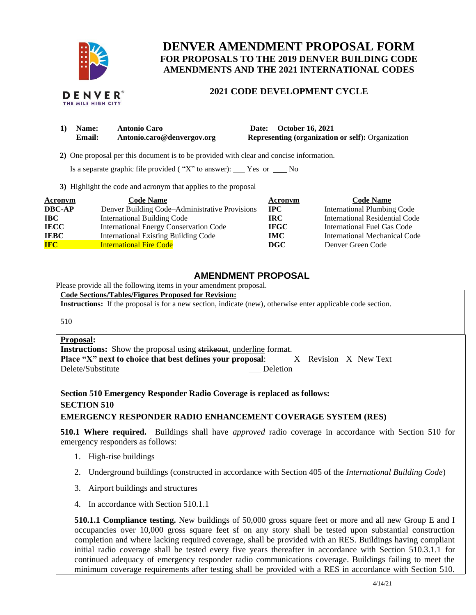

# **DENVER AMENDMENT PROPOSAL FORM FOR PROPOSALS TO THE 2019 DENVER BUILDING CODE AMENDMENTS AND THE 2021 INTERNATIONAL CODES**

# **2021 CODE DEVELOPMENT CYCLE**

| 1) Name: | <b>Antonio Caro</b>        | Date: October 16, 2021                                   |
|----------|----------------------------|----------------------------------------------------------|
| Email:   | Antonio.caro@denvergov.org | <b>Representing (organization or self): Organization</b> |

 **2)** One proposal per this document is to be provided with clear and concise information.

Is a separate graphic file provided ("X" to answer):  $\_\_\_\$  Yes or  $\_\_\_\$  No

**3)** Highlight the code and acronym that applies to the proposal

| <b>Acronym</b> | <b>Code Name</b>                               | Acronym      | <b>Code Name</b>                   |
|----------------|------------------------------------------------|--------------|------------------------------------|
| <b>DBC-AP</b>  | Denver Building Code–Administrative Provisions | $_{\rm IPC}$ | <b>International Plumbing Code</b> |
| <b>IBC</b>     | <b>International Building Code</b>             | IRC.         | International Residential Code     |
| <b>IECC</b>    | International Energy Conservation Code         | <b>IFGC</b>  | International Fuel Gas Code        |
| <b>IEBC</b>    | <b>International Existing Building Code</b>    | <b>IMC</b>   | International Mechanical Code      |
| <b>IFC</b>     | <b>International Fire Code</b>                 | <b>DGC</b>   | Denver Green Code                  |

# **AMENDMENT PROPOSAL**

Please provide all the following items in your amendment proposal.

**Code Sections/Tables/Figures Proposed for Revision: Instructions:** If the proposal is for a new section, indicate (new), otherwise enter applicable code section.

510

### **Proposal:**

**Instructions:** Show the proposal using strikeout, underline format. **Place "X" next to choice that best defines your proposal:** <u>X</u> Revision <u>X</u> New Text Delete/Substitute Deletion Delete/Substitute

**Section 510 Emergency Responder Radio Coverage is replaced as follows: SECTION 510** 

## **EMERGENCY RESPONDER RADIO ENHANCEMENT COVERAGE SYSTEM (RES)**

**510.1 Where required.** Buildings shall have *approved* radio coverage in accordance with Section 510 for emergency responders as follows:

- 1. High-rise buildings
- 2. Underground buildings (constructed in accordance with Section 405 of the *International Building Code*)
- 3. Airport buildings and structures
- 4. In accordance with Section 510.1.1

**510.1.1 Compliance testing.** New buildings of 50,000 gross square feet or more and all new Group E and I occupancies over 10,000 gross square feet sf on any story shall be tested upon substantial construction completion and where lacking required coverage, shall be provided with an RES. Buildings having compliant initial radio coverage shall be tested every five years thereafter in accordance with Section 510.3.1.1 for continued adequacy of emergency responder radio communications coverage. Buildings failing to meet the minimum coverage requirements after testing shall be provided with a RES in accordance with Section 510.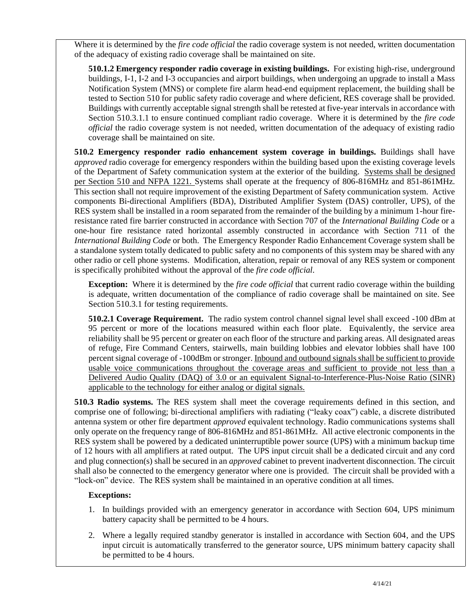Where it is determined by the *fire code official* the radio coverage system is not needed, written documentation of the adequacy of existing radio coverage shall be maintained on site.

**510.1.2 Emergency responder radio coverage in existing buildings.** For existing high-rise, underground buildings, I-1, I-2 and I-3 occupancies and airport buildings, when undergoing an upgrade to install a Mass Notification System (MNS) or complete fire alarm head-end equipment replacement, the building shall be tested to Section 510 for public safety radio coverage and where deficient, RES coverage shall be provided. Buildings with currently acceptable signal strength shall be retested at five-year intervals in accordance with Section 510.3.1.1 to ensure continued compliant radio coverage. Where it is determined by the *fire code official* the radio coverage system is not needed, written documentation of the adequacy of existing radio coverage shall be maintained on site.

**510.2 Emergency responder radio enhancement system coverage in buildings.** Buildings shall have *approved* radio coverage for emergency responders within the building based upon the existing coverage levels of the Department of Safety communication system at the exterior of the building. Systems shall be designed per Section 510 and NFPA 1221. Systems shall operate at the frequency of 806-816MHz and 851-861MHz. This section shall not require improvement of the existing Department of Safety communication system. Active components Bi-directional Amplifiers (BDA), Distributed Amplifier System (DAS) controller, UPS), of the RES system shall be installed in a room separated from the remainder of the building by a minimum 1-hour fireresistance rated fire barrier constructed in accordance with Section 707 of the *International Building Code* or a one-hour fire resistance rated horizontal assembly constructed in accordance with Section 711 of the *International Building Code* or both. The Emergency Responder Radio Enhancement Coverage system shall be a standalone system totally dedicated to public safety and no components of this system may be shared with any other radio or cell phone systems. Modification, alteration, repair or removal of any RES system or component is specifically prohibited without the approval of the *fire code official*.

**Exception:** Where it is determined by the *fire code official* that current radio coverage within the building is adequate, written documentation of the compliance of radio coverage shall be maintained on site. See Section 510.3.1 for testing requirements.

**510.2.1 Coverage Requirement.** The radio system control channel signal level shall exceed -100 dBm at 95 percent or more of the locations measured within each floor plate. Equivalently, the service area reliability shall be 95 percent or greater on each floor of the structure and parking areas. All designated areas of refuge, Fire Command Centers, stairwells, main building lobbies and elevator lobbies shall have 100 percent signal coverage of -100dBm or stronger. Inbound and outbound signals shall be sufficient to provide usable voice communications throughout the coverage areas and sufficient to provide not less than a Delivered Audio Quality (DAQ) of 3.0 or an equivalent Signal-to-Interference-Plus-Noise Ratio (SINR) applicable to the technology for either analog or digital signals.

**510.3 Radio systems.** The RES system shall meet the coverage requirements defined in this section, and comprise one of following; bi-directional amplifiers with radiating ("leaky coax") cable, a discrete distributed antenna system or other fire department *approved* equivalent technology. Radio communications systems shall only operate on the frequency range of 806-816MHz and 851-861MHz. All active electronic components in the RES system shall be powered by a dedicated uninterruptible power source (UPS) with a minimum backup time of 12 hours with all amplifiers at rated output. The UPS input circuit shall be a dedicated circuit and any cord and plug connection(s) shall be secured in an *approved* cabinet to prevent inadvertent disconnection. The circuit shall also be connected to the emergency generator where one is provided. The circuit shall be provided with a "lock-on" device. The RES system shall be maintained in an operative condition at all times.

# **Exceptions:**

- 1. In buildings provided with an emergency generator in accordance with Section 604, UPS minimum battery capacity shall be permitted to be 4 hours.
- 2. Where a legally required standby generator is installed in accordance with Section 604, and the UPS input circuit is automatically transferred to the generator source, UPS minimum battery capacity shall be permitted to be 4 hours.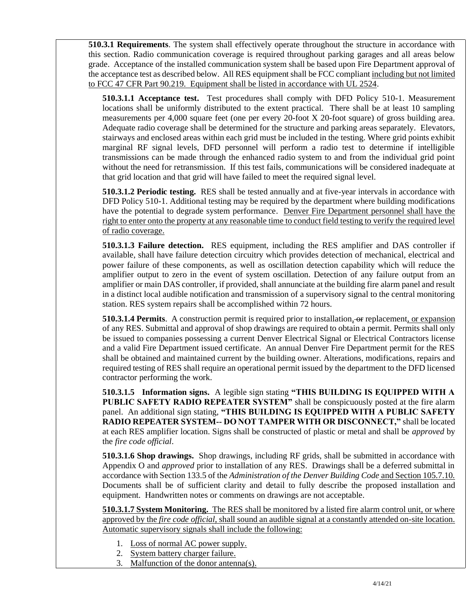**510.3.1 Requirements**. The system shall effectively operate throughout the structure in accordance with this section. Radio communication coverage is required throughout parking garages and all areas below grade. Acceptance of the installed communication system shall be based upon Fire Department approval of the acceptance test as described below. All RES equipment shall be FCC compliant including but not limited to FCC 47 CFR Part 90.219. Equipment shall be listed in accordance with UL 2524.

**510.3.1.1 Acceptance test.** Test procedures shall comply with DFD Policy 510-1. Measurement locations shall be uniformly distributed to the extent practical. There shall be at least 10 sampling measurements per 4,000 square feet (one per every 20-foot X 20-foot square) of gross building area. Adequate radio coverage shall be determined for the structure and parking areas separately. Elevators, stairways and enclosed areas within each grid must be included in the testing. Where grid points exhibit marginal RF signal levels, DFD personnel will perform a radio test to determine if intelligible transmissions can be made through the enhanced radio system to and from the individual grid point without the need for retransmission. If this test fails, communications will be considered inadequate at that grid location and that grid will have failed to meet the required signal level.

**510.3.1.2 Periodic testing.** RES shall be tested annually and at five-year intervals in accordance with DFD Policy 510-1. Additional testing may be required by the department where building modifications have the potential to degrade system performance. Denver Fire Department personnel shall have the right to enter onto the property at any reasonable time to conduct field testing to verify the required level of radio coverage.

**510.3.1.3 Failure detection.** RES equipment, including the RES amplifier and DAS controller if available, shall have failure detection circuitry which provides detection of mechanical, electrical and power failure of these components, as well as oscillation detection capability which will reduce the amplifier output to zero in the event of system oscillation. Detection of any failure output from an amplifier or main DAS controller, if provided, shall annunciate at the building fire alarm panel and result in a distinct local audible notification and transmission of a supervisory signal to the central monitoring station. RES system repairs shall be accomplished within 72 hours.

**510.3.1.4 Permits**. A construction permit is required prior to installation, or replacement, or expansion of any RES. Submittal and approval of shop drawings are required to obtain a permit. Permits shall only be issued to companies possessing a current Denver Electrical Signal or Electrical Contractors license and a valid Fire Department issued certificate. An annual Denver Fire Department permit for the RES shall be obtained and maintained current by the building owner. Alterations, modifications, repairs and required testing of RES shall require an operational permit issued by the department to the DFD licensed contractor performing the work.

**510.3.1.5 Information signs.** A legible sign stating **"THIS BUILDING IS EQUIPPED WITH A PUBLIC SAFETY RADIO REPEATER SYSTEM"** shall be conspicuously posted at the fire alarm panel. An additional sign stating, **"THIS BUILDING IS EQUIPPED WITH A PUBLIC SAFETY RADIO REPEATER SYSTEM-- DO NOT TAMPER WITH OR DISCONNECT,"** shall be located at each RES amplifier location. Signs shall be constructed of plastic or metal and shall be *approved* by the *fire code official*.

**510.3.1.6 Shop drawings.** Shop drawings, including RF grids, shall be submitted in accordance with Appendix O and *approved* prior to installation of any RES. Drawings shall be a deferred submittal in accordance with Section 133.5 of the *Administration of the Denver Building Code* and Section 105.7.10*.* Documents shall be of sufficient clarity and detail to fully describe the proposed installation and equipment. Handwritten notes or comments on drawings are not acceptable.

**510.3.1.7 System Monitoring.** The RES shall be monitored by a listed fire alarm control unit, or where approved by the *fire code official*, shall sound an audible signal at a constantly attended on-site location. Automatic supervisory signals shall include the following:

- 1. Loss of normal AC power supply.
- 2. System battery charger failure.
- 3. Malfunction of the donor antenna(s).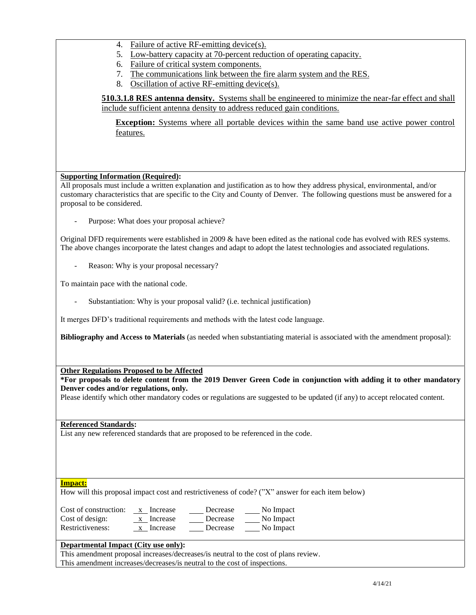- 4. Failure of active RF-emitting device(s).
- 5. Low-battery capacity at 70-percent reduction of operating capacity.
- 6. Failure of critical system components.
- 7. The communications link between the fire alarm system and the RES.
- 8. Oscillation of active RF-emitting device(s).

**510.3.1.8 RES antenna density.** Systems shall be engineered to minimize the near-far effect and shall include sufficient antenna density to address reduced gain conditions.

**Exception:** Systems where all portable devices within the same band use active power control features.

## **Supporting Information (Required):**

All proposals must include a written explanation and justification as to how they address physical, environmental, and/or customary characteristics that are specific to the City and County of Denver. The following questions must be answered for a proposal to be considered.

Purpose: What does your proposal achieve?

Original DFD requirements were established in 2009 & have been edited as the national code has evolved with RES systems. The above changes incorporate the latest changes and adapt to adopt the latest technologies and associated regulations.

Reason: Why is your proposal necessary?

To maintain pace with the national code.

Substantiation: Why is your proposal valid? (i.e. technical justification)

It merges DFD's traditional requirements and methods with the latest code language.

**Bibliography and Access to Materials** (as needed when substantiating material is associated with the amendment proposal):

**Other Regulations Proposed to be Affected**

**\*For proposals to delete content from the 2019 Denver Green Code in conjunction with adding it to other mandatory Denver codes and/or regulations, only.**

Please identify which other mandatory codes or regulations are suggested to be updated (if any) to accept relocated content.

**Referenced Standards:**

List any new referenced standards that are proposed to be referenced in the code.

#### **Impact:**

How will this proposal impact cost and restrictiveness of code? ("X" answer for each item below)

| Cost of construction: | x Increase | Decrease | No Impact |
|-----------------------|------------|----------|-----------|
| Cost of design:       | x Increase | Decrease | No Impact |
| Restrictiveness:      | Increase   | Decrease | No Impact |

### **Departmental Impact (City use only):**

This amendment proposal increases/decreases/is neutral to the cost of plans review. This amendment increases/decreases/is neutral to the cost of inspections.